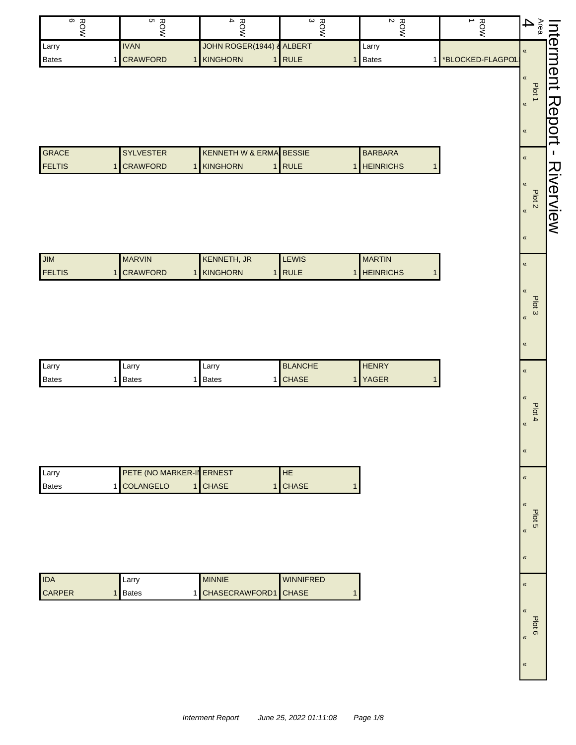| တ<br>고       | חט<br>ᆽ         | 观<br>                     | 고<br>ພ | ᆽ<br>$\sim$ | ∸                        | Œ<br>യ                        |                |
|--------------|-----------------|---------------------------|--------|-------------|--------------------------|-------------------------------|----------------|
| Larry        | <b>IVAN</b>     | JOHN ROGER(1944) & ALBERT |        | I Larry     |                          |                               | <sub>N</sub> D |
| <b>Bates</b> | <b>CRAWFORD</b> | KINGHORN                  | RULE   | Bates       | <b>*BLOCKED-FLAGPOLI</b> |                               |                |
|              |                 |                           |        |             |                          |                               | Œ              |
|              |                 |                           |        |             |                          | ᠇<br>$\overline{\phantom{1}}$ |                |

| <b>GRACE</b>   | <b>SYLVESTER</b> | <b>I KENNETH W &amp; ERMAI BESSIE</b> |              | <b>BARBARA</b>   |
|----------------|------------------|---------------------------------------|--------------|------------------|
| <b>IFELTIS</b> | 1 CRAWFORD       | <b>IKINGHORN</b>                      | <b>IRULE</b> | <b>HEINRICHS</b> |

| <b>MILI</b>    | <b>MARVIN</b>   | KENNETH, JR     | <b>LEWIS</b> | <b>MARTIN</b>    |
|----------------|-----------------|-----------------|--------------|------------------|
| <b>IFELTIS</b> | <b>CRAWFORD</b> | <b>KINGHORN</b> | <b>IRULE</b> | <b>HEINRICHS</b> |

| Larry        | arrv  | ∟arr∨        | <b>BLANCHE</b> | <b>HENRY</b> |
|--------------|-------|--------------|----------------|--------------|
| <b>Bates</b> | Bates | <b>Bates</b> | <b>CHASE</b>   | <b>YAGER</b> |

| Larry   | <b>PETE (NO MARKER-IN ERNEST</b> |                | <b>HE</b> |
|---------|----------------------------------|----------------|-----------|
| l Bates | 1 COLANGELO                      | <b>I</b> CHASE | 1 CHASE   |

| l IDA         | Larry        | <b>MINNIE</b>          | <b>WINNIFRED</b> |
|---------------|--------------|------------------------|------------------|
| <b>CARPER</b> | <b>Bates</b> | 1 CHASECRAWFORD1 CHASE |                  |

| «<br>«<br><b>Plot</b><br>«<br>«<br>«<br>«<br>Plot <sub>2</sub><br>«<br>«<br>«<br>«<br>Plot <sub>3</sub><br>«<br>«<br>«<br>«<br>Pht 4<br>«<br>K<br>K<br>J<br>K<br>«<br>« |      | ntermen | <b>ABDON</b> | 刀 | - スマのマIの<br>)<br>2<br>=<br>è |  |  |  |  |  |  |  |  |  |
|-------------------------------------------------------------------------------------------------------------------------------------------------------------------------|------|---------|--------------|---|------------------------------|--|--|--|--|--|--|--|--|--|
|                                                                                                                                                                         | Area |         |              |   |                              |  |  |  |  |  |  |  |  |  |
|                                                                                                                                                                         |      |         |              |   |                              |  |  |  |  |  |  |  |  |  |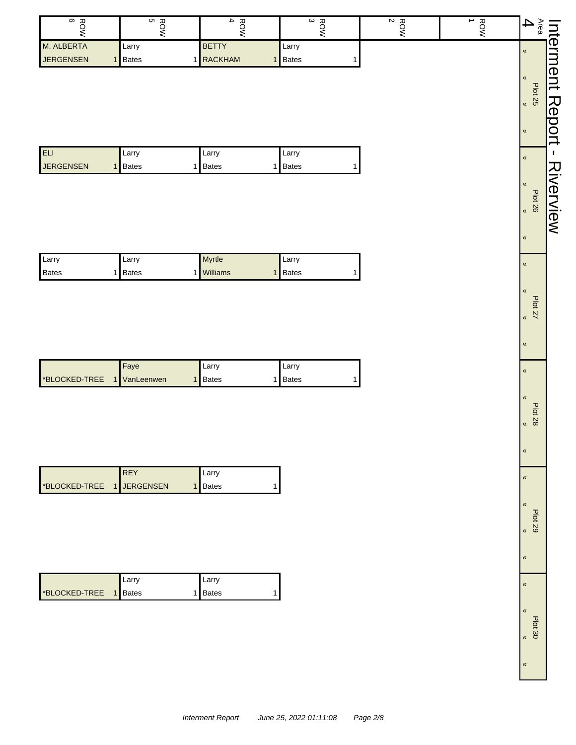| $\infty$<br>ហ<br>ROW<br>ROW | $\overline{\phantom{a}}$<br>ROW | $\omega$<br>ROW | $\frac{ROW}{2}$ | ∸<br><b>ROW</b> | 4<br>eg<br>0                  | nte∣                    |
|-----------------------------|---------------------------------|-----------------|-----------------|-----------------|-------------------------------|-------------------------|
| M. ALBERTA<br>Larry         | <b>BETTY</b>                    | Larry           |                 |                 | $\pmb{\langle} \pmb{\langle}$ |                         |
| <b>JERGENSEN</b><br>1 Bates | <b>RACKHAM</b><br>1             | <b>Bates</b>    |                 |                 |                               | $\overline{\mathsf{B}}$ |
|                             |                                 |                 |                 |                 | $\alpha$                      | ent                     |
|                             |                                 |                 |                 |                 | Plot                          |                         |
|                             |                                 |                 |                 |                 | 25<br>$\,\,\ll$               | 刀                       |
|                             |                                 |                 |                 |                 |                               | $\mathbf \Phi$          |
|                             |                                 |                 |                 |                 | $\,\,\ll$                     | Õ                       |
| ELI                         | Larry                           | Larry           |                 |                 |                               | ユ                       |
| Larry                       |                                 |                 |                 |                 | $\pmb{\ll}$                   |                         |
| <b>JERGENSEN</b><br>1 Bates | <b>Bates</b><br>1               | <b>Bates</b>    |                 |                 |                               | ス                       |
|                             |                                 |                 |                 |                 | $\sqrt{ }$                    |                         |
|                             |                                 |                 |                 |                 | <b>Plot 26</b>                | O<br>J                  |
|                             |                                 |                 |                 |                 | $\,\,\ll$                     |                         |
|                             |                                 |                 |                 |                 |                               | View                    |

«

«

«

«

«

«

«

«

«

«

«

«

«

«

Plot 27 «

Plot 28 «

Plot 29 «

Plot 30

| 1 ELI            | Larry        | ∟arrv        | Larry          |
|------------------|--------------|--------------|----------------|
| <b>JERGENSEN</b> | <b>Bates</b> | <b>Bates</b> | 1 <b>Bates</b> |

| I Larry      | Larry        | <b>Myrtle</b>   | Larry        |
|--------------|--------------|-----------------|--------------|
| <b>Bates</b> | <b>Bates</b> | <b>Williams</b> | <b>Bates</b> |

|                                   | Fave | Larry | Larry          |
|-----------------------------------|------|-------|----------------|
| <b>*BLOCKED-TREE</b> 1 VanLeenwen |      | Bates | <b>I</b> Bates |

|                                 | <b>REY</b> | <b>Larry</b> |  |
|---------------------------------|------------|--------------|--|
| <b>BLOCKED-TREE 1 JERGENSEN</b> |            | <b>Bates</b> |  |

|                             | . Larry | Larry   |
|-----------------------------|---------|---------|
| <b>BLOCKED-TREE</b> 1 Bates |         | 1 Bates |

| <b>Interment Report</b> | June 25, 2022 01:11:08 | Page 2/8 |
|-------------------------|------------------------|----------|
|                         |                        |          |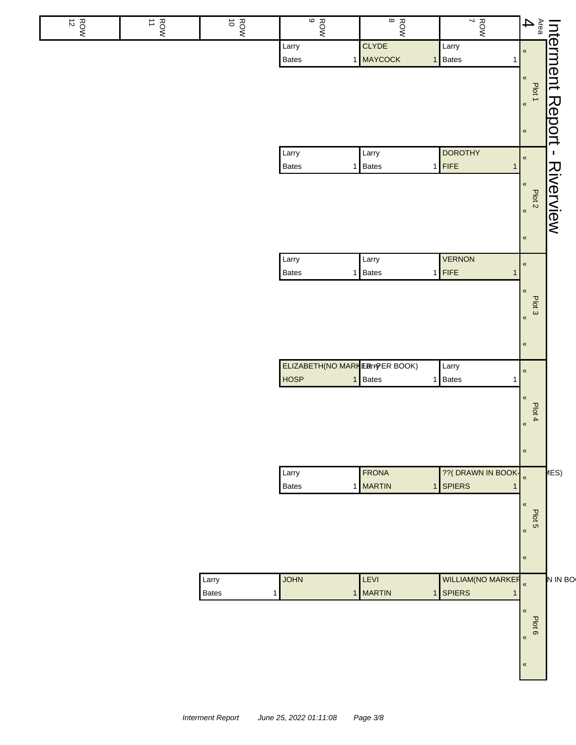|                                                                |                                                        | $\frac{1}{2}$                            | $\frac{1}{8}$                               | ဖ<br>ROW                               | $\vec{o}$<br>ROW    | $rac{1}{2}$ | $\frac{R}{2}$ |
|----------------------------------------------------------------|--------------------------------------------------------|------------------------------------------|---------------------------------------------|----------------------------------------|---------------------|-------------|---------------|
|                                                                |                                                        | Larry<br><b>Bates</b><br>1               | <b>CLYDE</b><br>1 MAYCOCK<br>1 <sup>1</sup> | Larry<br>Bates                         |                     |             |               |
| Interment Report - Riverview<br>Area <b>Plot 1</b><br>4 Plot 1 |                                                        |                                          |                                             |                                        |                     |             |               |
|                                                                |                                                        | <b>DOROTHY</b>                           | Larry                                       | Larry                                  |                     |             |               |
|                                                                | $\pmb{\kappa}$                                         | $1$ FIFE<br>1                            | 1 Bates                                     | <b>Bates</b>                           |                     |             |               |
|                                                                | $\pmb{\kappa}$                                         | <b>VERNON</b><br>$1$ FIFE<br>1           | Larry<br>1 Bates                            | Larry<br><b>Bates</b>                  |                     |             |               |
|                                                                | $\pmb{\kappa}$<br>Plot 3<br>$\pmb{\ll}$<br>$\pmb{\ll}$ |                                          |                                             |                                        |                     |             |               |
|                                                                |                                                        | Larry                                    |                                             | <b>ELIZABETH(NO MARK ERIFPER BOOK)</b> |                     |             |               |
|                                                                | $\pmb{\ll}$<br>$\pmb{\kappa}$<br>Plot 4                | 1 Bates<br>1                             | 1 Bates                                     | <b>HOSP</b>                            |                     |             |               |
|                                                                | $\pmb{\kappa}$<br>$\pmb{\kappa}$                       |                                          |                                             |                                        |                     |             |               |
| $\mu$ ES)                                                      | $\pmb{\kappa}$                                         | ?? (DRAWN IN BOOK-<br><b>SPIERS</b><br>1 | FRONA<br>1 MARTIN<br>1 <sup>1</sup>         | Larry<br>Bates                         |                     |             |               |
|                                                                | $\pmb{\kappa}$<br>Plot 5<br>$\pmb{\kappa}$             |                                          |                                             |                                        |                     |             |               |
|                                                                | $\pmb{\ll}$                                            |                                          |                                             |                                        |                     |             |               |
| N IN BO                                                        | $\pmb{\kappa}$                                         | WILLIAM(NO MARKER<br><b>SPIERS</b><br>1  | LEVI<br>MARTIN<br>1 <sup>1</sup>            | <b>JOHN</b><br>$\mathbf{1}$            | Larry<br>Bates<br>1 |             |               |
|                                                                | $\pmb{\kappa}$<br>Plot 6<br>«                          |                                          |                                             |                                        |                     |             |               |
|                                                                | $\pmb{\ll}$                                            |                                          |                                             |                                        |                     |             |               |
|                                                                |                                                        |                                          |                                             |                                        |                     |             |               |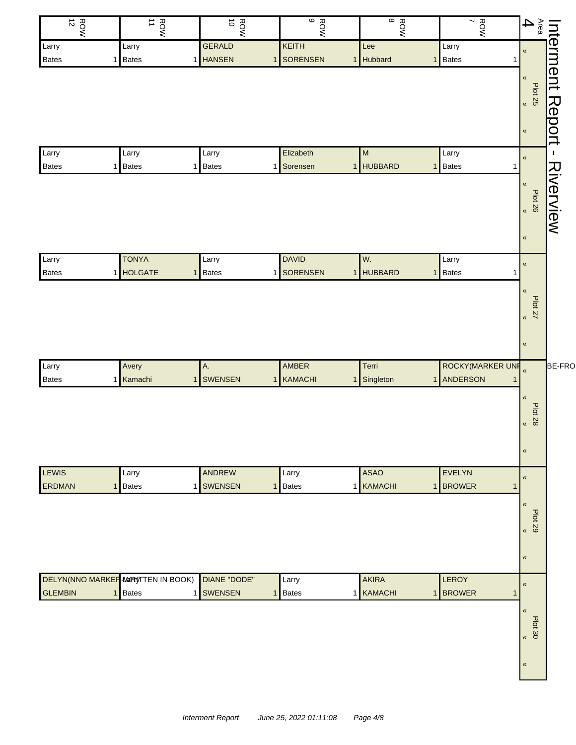| $\vec{z}$<br>ROW               | $rac{1}{1}$                               | $\vec{o}$<br>ROW          | $\frac{RON}{9}$   | $\infty$<br>ROW           | $\frac{1}{7}$    |                                                               |               |
|--------------------------------|-------------------------------------------|---------------------------|-------------------|---------------------------|------------------|---------------------------------------------------------------|---------------|
| Larry                          | Larry                                     | <b>GERALD</b>             | KEITH             | Lee                       | Larry            |                                                               |               |
| Bates<br>1                     | <b>Bates</b>                              | 1 HANSEN<br>$\mathbf{1}$  | <b>SORENSEN</b>   | 1 Hubbard                 | 1 Bates          | Interment Report -<br>Area Plot 25<br>4 <b>Contra Plot 25</b> |               |
| Larry                          | Larry                                     | Larry                     | Elizabeth         | M                         | Larry            | «                                                             | J,            |
| Bates<br>1                     | <b>Bates</b><br>1                         | <b>Bates</b>              | 1 Sorensen        | 1 HUBBARD                 | 1 Bates          |                                                               |               |
|                                |                                           |                           |                   |                           |                  | «<br>$B$ lot 26<br>$\pmb{\kappa}$                             | Riverview     |
| Larry                          | <b>TONYA</b>                              | Larry                     | <b>DAVID</b>      | W.                        | Larry            | $\pmb{\kappa}$                                                |               |
| Bates<br>1                     | <b>HOLGATE</b><br>1                       | Bates                     | 1 SORENSEN        | 1 HUBBARD<br>$\mathbf{1}$ | Bates            |                                                               |               |
|                                |                                           |                           |                   |                           |                  | «<br>Plot 27<br>$\pmb{\kappa}$<br>$\pmb{\ll}$                 |               |
| Larry                          | Avery                                     | Α.                        | AMBER             | Terri                     | ROCKY(MARKER UNF |                                                               | <b>BE-FRO</b> |
| <b>Bates</b><br>$\mathbf{1}$   | Kamachi<br>$\mathbf{1}$                   | <b>SWENSEN</b>            | 1 KAMACHI         | 1 Singleton               | 1 ANDERSON       |                                                               |               |
|                                |                                           |                           |                   |                           |                  | «<br><b>Plot 28</b><br>«<br>$\pmb{\mathfrak{C}}$              |               |
| <b>LEWIS</b>                   | Larry                                     | ANDREW                    | Larry             | <b>ASAO</b>               | EVELYN           | $\overline{\mathbf{X}}$                                       |               |
| ERDMAN<br>$\mathbf{1}$         | <b>Bates</b>                              | 1 SWENSEN<br>$\mathbf{1}$ | <b>Bates</b>      | 1 KAMACHI                 | 1 BROWER         |                                                               |               |
|                                |                                           |                           |                   |                           |                  | «<br><b>Plot 29</b><br>$\overline{\mathbf{K}}$                |               |
|                                |                                           |                           |                   |                           |                  | «                                                             |               |
|                                | <b>DELYN(NNO MARKER MARYTTEN IN BOOK)</b> | DIANE "DODE"              | Larry             | <b>AKIRA</b>              | LEROY            | «                                                             |               |
| <b>GLEMBIN</b><br>$\mathbf{1}$ | Bates                                     | 1 SWENSEN<br>$\mathbf{1}$ | <b>Bates</b><br>1 | KAMACHI                   | 1 BROWER         |                                                               |               |
|                                |                                           |                           |                   |                           |                  | «<br>$500$ $\approx$                                          |               |
|                                |                                           |                           |                   |                           |                  | «                                                             |               |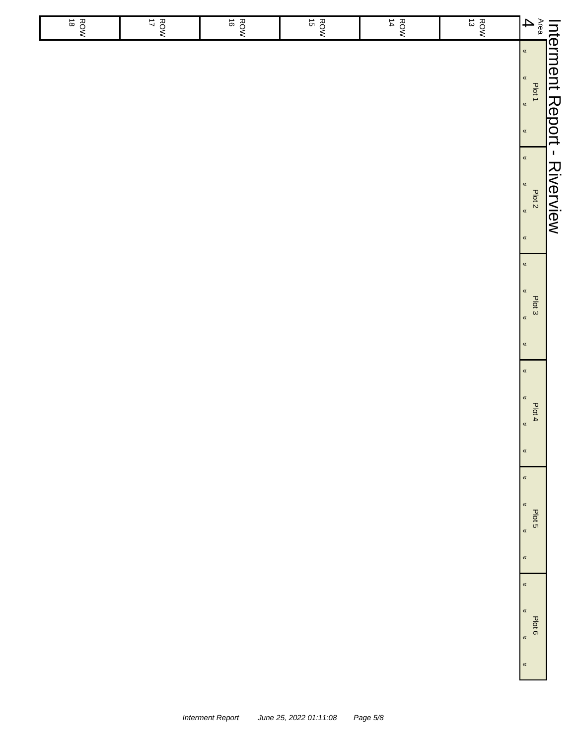| $rac{R}{18}$ | $rac{ROM}{17}$ | $\vec{\circ}$<br>ROW | $rac{R}{15}$ | $\frac{ROM}{14}$ | $\vec{\omega}$<br>ROW | $\overline{\mathbf{4}}$                                                                   |                              |
|--------------|----------------|----------------------|--------------|------------------|-----------------------|-------------------------------------------------------------------------------------------|------------------------------|
|              |                |                      |              |                  |                       | $\pmb{\alpha}$<br>$\pmb{\alpha}$<br>Plot 1<br>$\overline{\mathbf{R}}$<br>$\pmb{\kappa}$   | Interment Report - Riverview |
|              |                |                      |              |                  |                       | $\pmb{\alpha}$<br>$\pmb{\alpha}$<br>Plot <sub>2</sub><br>$\pmb{\alpha}$<br>$\pmb{\kappa}$ |                              |
|              |                |                      |              |                  |                       | $\pmb{\kappa}$<br>$\pmb{\kappa}$<br>Plot 3<br>$\pmb{\alpha}$<br>$\pmb{\kappa}$            |                              |
|              |                |                      |              |                  |                       | $\pmb{\alpha}$<br>$\pmb{\ll}$<br>Plot 4<br>$\pmb{\alpha}$<br>$\pmb{\ll}$                  |                              |
|              |                |                      |              |                  |                       | $\pmb{\ll}$<br>$\pmb{\ll}$<br>Plot 5<br>$\pmb{\kappa}$<br>$\pmb{\ll}$                     |                              |
|              |                |                      |              |                  |                       | $\pmb{\ll}$<br>$\pmb{\ll}$<br>Plot 6<br>$\pmb{\kappa}$<br>$\,\,\ll$                       |                              |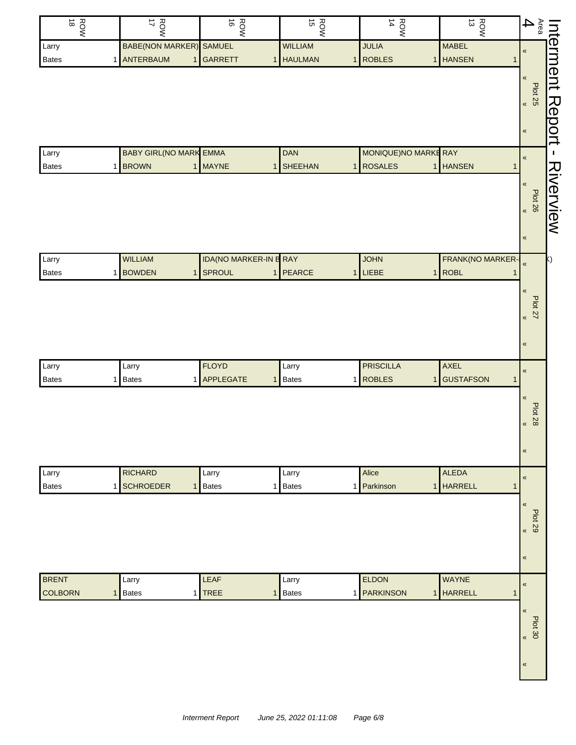| ROW<br>18      | ROW<br>17                      | $\vec{\circ}$<br>ROW         | ROW<br>15                     | $\frac{ROW}{14}$   | $\frac{ROW}{13}$                 | $\mathop{\mathsf{A}\vphantom{a}}\nolimits^{\mathop{}\nolimits_{\mathsf{G}\vphantom{a}}^{\mathop{}\nolimits_{\mathsf{G}\vphantom{a}}^{\mathop{}\nolimits_{\mathsf{G}}}}\mathop{}\nolimits^{\mathop{}\nolimits_{\mathsf{G}\vphantom{a}}^{\mathop{}\nolimits_{\mathsf{G}}}}\mathop{}\nolimits^{\mathop{}\nolimits_{\mathsf{G}\vphantom{a}}^{\mathop{}\nolimits_{\mathsf{G}}}}\mathop{}\nolimits^{\mathop{}\nolimits_{\mathsf{G}\vphantom{a}}^{\mathop{}\nolimits_{\mathsf{G}}}}\mathop{}\nolimits^{\mathop$<br>Interment Report |
|----------------|--------------------------------|------------------------------|-------------------------------|--------------------|----------------------------------|------------------------------------------------------------------------------------------------------------------------------------------------------------------------------------------------------------------------------------------------------------------------------------------------------------------------------------------------------------------------------------------------------------------------------------------------------------------------------------------------------------------------------|
| Larry          | <b>BABE(NON MARKER)</b>        | <b>SAMUEL</b>                | <b>WILLIAM</b>                | <b>JULIA</b>       | <b>MABEL</b>                     | $\pmb{\mathcal{R}}$                                                                                                                                                                                                                                                                                                                                                                                                                                                                                                          |
| <b>Bates</b>   | 1 ANTERBAUM                    | 1 GARRETT                    | <b>HAULMAN</b><br>$\mathbf 1$ | 1 ROBLES           | 1 HANSEN                         | 1                                                                                                                                                                                                                                                                                                                                                                                                                                                                                                                            |
|                |                                |                              |                               |                    |                                  | «                                                                                                                                                                                                                                                                                                                                                                                                                                                                                                                            |
|                |                                |                              |                               |                    |                                  | Plot 25                                                                                                                                                                                                                                                                                                                                                                                                                                                                                                                      |
|                |                                |                              |                               |                    |                                  |                                                                                                                                                                                                                                                                                                                                                                                                                                                                                                                              |
|                |                                |                              |                               |                    |                                  | $\pmb{\kappa}$                                                                                                                                                                                                                                                                                                                                                                                                                                                                                                               |
| Larry          | <b>BABY GIRL (NO MARK EMMA</b> |                              | <b>DAN</b>                    |                    | <b>MONIQUE)NO MARKE RAY</b>      | $\mathbf{I}$<br>$\pmb{\mathcal{R}}$                                                                                                                                                                                                                                                                                                                                                                                                                                                                                          |
| <b>Bates</b>   | 1 BROWN                        | 1 MAYNE                      | <b>SHEEHAN</b><br>$\mathbf 1$ | 1 ROSALES          | 1 HANSEN                         | $\mathbf 1$                                                                                                                                                                                                                                                                                                                                                                                                                                                                                                                  |
|                |                                |                              |                               |                    |                                  | Riverview<br>«                                                                                                                                                                                                                                                                                                                                                                                                                                                                                                               |
|                |                                |                              |                               |                    |                                  | Plot 26                                                                                                                                                                                                                                                                                                                                                                                                                                                                                                                      |
|                |                                |                              |                               |                    |                                  |                                                                                                                                                                                                                                                                                                                                                                                                                                                                                                                              |
|                |                                |                              |                               |                    |                                  | $\pmb{\mathcal{R}}$                                                                                                                                                                                                                                                                                                                                                                                                                                                                                                          |
|                |                                |                              |                               |                    |                                  |                                                                                                                                                                                                                                                                                                                                                                                                                                                                                                                              |
| Larry          | <b>WILLIAM</b>                 | IDA(NO MARKER-IN B RAY       |                               | <b>JOHN</b>        | FRANK(NO MARKER-                 | $\overline{\mathbf{K}}$                                                                                                                                                                                                                                                                                                                                                                                                                                                                                                      |
| <b>Bates</b>   | 1 BOWDEN                       | 1 SPROUL                     | 1 PEARCE                      | 1 LIEBE            | <b>ROBL</b><br>$\mathbf{1}$      |                                                                                                                                                                                                                                                                                                                                                                                                                                                                                                                              |
|                |                                |                              |                               |                    |                                  | «                                                                                                                                                                                                                                                                                                                                                                                                                                                                                                                            |
|                |                                |                              |                               |                    |                                  | <b>Plot 27</b><br>$\overline{\mathbf{K}}$                                                                                                                                                                                                                                                                                                                                                                                                                                                                                    |
|                |                                |                              |                               |                    |                                  |                                                                                                                                                                                                                                                                                                                                                                                                                                                                                                                              |
|                |                                |                              |                               |                    |                                  | «                                                                                                                                                                                                                                                                                                                                                                                                                                                                                                                            |
| Larry          | Larry                          | <b>FLOYD</b>                 | Larry                         | <b>PRISCILLA</b>   | <b>AXEL</b>                      |                                                                                                                                                                                                                                                                                                                                                                                                                                                                                                                              |
| Bates          | Bates<br>1                     | 1 APPLEGATE                  | <b>Bates</b><br>$\mathbf{1}$  | 1 ROBLES           | <b>GUSTAFSON</b><br>$\mathbf{1}$ | $\pmb{\mathcal{R}}$<br>$\mathbf{1}$                                                                                                                                                                                                                                                                                                                                                                                                                                                                                          |
|                |                                |                              |                               |                    |                                  | «                                                                                                                                                                                                                                                                                                                                                                                                                                                                                                                            |
|                |                                |                              |                               |                    |                                  | <b>Plot 28</b>                                                                                                                                                                                                                                                                                                                                                                                                                                                                                                               |
|                |                                |                              |                               |                    |                                  | «                                                                                                                                                                                                                                                                                                                                                                                                                                                                                                                            |
|                |                                |                              |                               |                    |                                  |                                                                                                                                                                                                                                                                                                                                                                                                                                                                                                                              |
|                |                                |                              |                               |                    |                                  | «                                                                                                                                                                                                                                                                                                                                                                                                                                                                                                                            |
| Larry          | <b>RICHARD</b>                 | Larry                        | Larry                         | Alice              | ALEDA                            | $\pmb{\mathsf{M}}$                                                                                                                                                                                                                                                                                                                                                                                                                                                                                                           |
| Bates          | 1 SCHROEDER                    | $\mathbf{1}$<br><b>Bates</b> | <b>Bates</b><br>1             | 1 Parkinson        | <b>HARRELL</b><br>1              | $\mathbf{1}$                                                                                                                                                                                                                                                                                                                                                                                                                                                                                                                 |
|                |                                |                              |                               |                    |                                  | $\overline{\mathbf{X}}$                                                                                                                                                                                                                                                                                                                                                                                                                                                                                                      |
|                |                                |                              |                               |                    |                                  | <b>Plot 29</b>                                                                                                                                                                                                                                                                                                                                                                                                                                                                                                               |
|                |                                |                              |                               |                    |                                  | «                                                                                                                                                                                                                                                                                                                                                                                                                                                                                                                            |
|                |                                |                              |                               |                    |                                  | «                                                                                                                                                                                                                                                                                                                                                                                                                                                                                                                            |
|                |                                |                              |                               |                    |                                  |                                                                                                                                                                                                                                                                                                                                                                                                                                                                                                                              |
| <b>BRENT</b>   | Larry                          | LEAF                         | Larry                         | ELDON              | WAYNE                            | «                                                                                                                                                                                                                                                                                                                                                                                                                                                                                                                            |
| <b>COLBORN</b> | 1 Bates                        | $1$ TREE                     | <b>Bates</b><br>$\mathbf 1$   | 1 <b>PARKINSON</b> | 1 HARRELL                        | 1                                                                                                                                                                                                                                                                                                                                                                                                                                                                                                                            |
|                |                                |                              |                               |                    |                                  | «                                                                                                                                                                                                                                                                                                                                                                                                                                                                                                                            |
|                |                                |                              |                               |                    |                                  | Plot 30<br>«                                                                                                                                                                                                                                                                                                                                                                                                                                                                                                                 |
|                |                                |                              |                               |                    |                                  |                                                                                                                                                                                                                                                                                                                                                                                                                                                                                                                              |
|                |                                |                              |                               |                    |                                  | «                                                                                                                                                                                                                                                                                                                                                                                                                                                                                                                            |
|                |                                |                              |                               |                    |                                  |                                                                                                                                                                                                                                                                                                                                                                                                                                                                                                                              |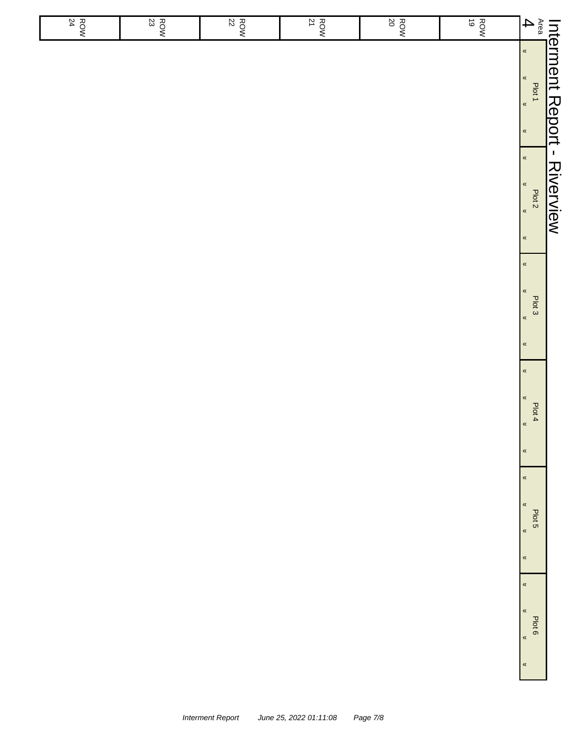| $\frac{ROW}{24}$ | $\frac{ROW}{23}$ | 22<br>ROW | $\frac{ROW}{21}$ | <b>ROW</b><br>20 | $\vec{\circ}$<br>ROW | $\overline{\mathbf{4}}$                                                                    |                              |
|------------------|------------------|-----------|------------------|------------------|----------------------|--------------------------------------------------------------------------------------------|------------------------------|
|                  |                  |           |                  |                  |                      | $\langle\!\langle$<br>$\pmb{\alpha}$<br>Plot 1<br>$\pmb{\alpha}$<br>$\pmb{\alpha}$         | Interment Report - Riverview |
|                  |                  |           |                  |                  |                      | $\pmb{\alpha}$<br>$\pmb{\alpha}$<br>Plot <sub>2</sub><br>$\pmb{\alpha}$<br>$\,\alpha$      |                              |
|                  |                  |           |                  |                  |                      | $\,\alpha$<br>$\pmb{\kappa}$<br>Plot 3<br>$\pmb{\kappa}$<br>$\,\alpha$                     |                              |
|                  |                  |           |                  |                  |                      | $\pmb{\kappa}$<br>$\pmb{\kappa}$<br>Plot 4<br>$\pmb{\kappa}$<br>$\pmb{\kappa}$             |                              |
|                  |                  |           |                  |                  |                      | $\pmb{\kappa}$<br>$\pmb{\ll}$<br>Plot 5<br>$\pmb{\kappa}$                                  |                              |
|                  |                  |           |                  |                  |                      | $\pmb{\kappa}$<br>$\pmb{\ll}$<br>$\pmb{\ll}$<br>Plot 6<br>$\pmb{\kappa}$<br>$\pmb{\kappa}$ |                              |